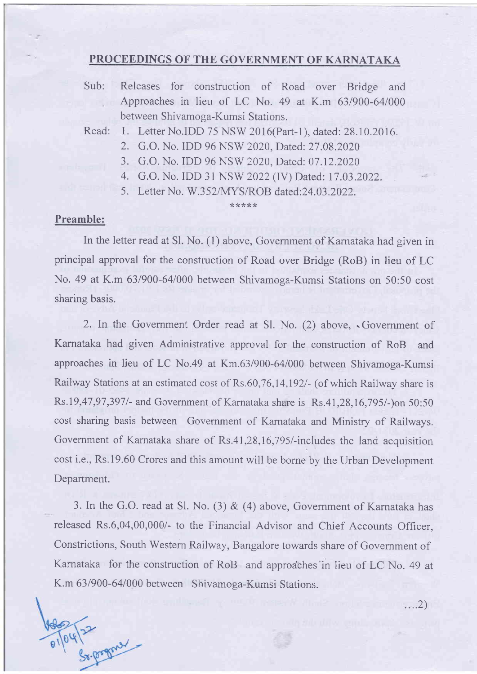### PROCEEDINGS OF THE GOVERNMENT OF KARNATAKA

Sub: Releases for construction of Road over Bridge and Approaches in lieu of LC No. 49 at K.m 63/900-64/000 between Shivamoga-Kumsi Stations.

Read: 1. Letter No.IDD 75 NSW 2016(Part-l), dated:28.10.2016.

- 2. G.O. No. IDD 96 NSW 2020, Dated: 27.08.2020
- 3. G.O. No. IDD 96 NSW 2020, Dated: 07.12.2020
- 4. G.O. No. IDD 31 NSW 2022 (IV) Dated: 17.03.2022.
- 5. Letter No. W.352/MYS/ROB dated: 24.03.2022.

#### \*\*\*\*\*

### Preamble:

In the letter read at Sl. No. (1) above, Government of Karnataka had given in principal approval for the construction of Road over Bridge (RoB) in lieu of LC No. 49 at K.m 631900-64/000 between Shivamoga-Kumsi Stations on 50:50 cost sharing basis.

2. In the Government Order read at Sl. No. (2) above, . Government of Karnataka had given Administrative approval for the construction of RoB and approaches in lieu of LC No.49 at Km.63/900-64/000 between Shivamoga-Kumsi Railway Stations at an estimated cost of Rs.60,76, l4,l92l- (of which Railway share is Rs.19,47,97,3971- and Government of Karnataka share is Rs.41 ,28,16,795l-)on 50:50 cost sharing basis between Government of Karnataka and Ministry of Railways. Government of Karnataka share of Rs.41 ,28,16,795/-includes the land acquisition cost i.e., Rs.19.60 Crores and this amount will be borne by the Urban Development Department.

3. In the G.O. read at Sl. No. (3)  $\&$  (4) above, Government of Karnataka has released Rs.6,04,00,000/- to the Financial Advisor and Chief Accounts Officer, Constrictions, South Western Railway, Bangalore towards share of Government of Karnataka for the construction of RoB and approaches'in lieu of LC No. 49 at K.m 631900-64/000 between Shivamoga-Kumsi Stations.

Cx. pognal

 $\dots 2)$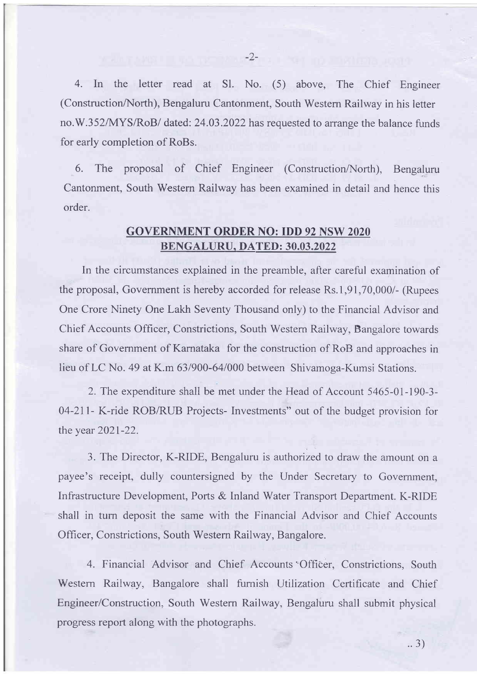4. In the letter read at Sl. No. (5) above, The Chief Engineer (Construction/North), Bengaluru Cantonment, South Western Railway in his letter no.W.352/MYS/RoB/ dated: 24.03.2022 has requested to arrange the balance funds for early completion of RoBs.

6. The proposal of Chief Engineer (Construction/North), Bengaluru Cantonment, South Western Railway has been examined in detail and hence this order.

## GOVERNMENT ORDER NO: IDD 92 NSW 2020 BENGALURU, DATED: 30.03.2022

In the circumstances explained in the preamble, after careful examination of the proposal, Government is hereby accorded for release Rs.1,91,70,000/- (Rupees One Crore Ninety One Lakh Seventy Thousand only) to the Financial Advisor and Chief Accounts Officer, Constrictions, South Western Railway, Bangalore towards share of Govemment of Karnataka for the construction of RoB and approaches in lieu of LC No. 49 at K.m 63/900-64/000 between Shivamoga-Kumsi Stations.

2. The expenditure shall be met under the Head of Account 5465-01- 190-3- 04-21l- K-ride ROB/RUB Projects- Investments" out of the budget provision for the year 2021-22.

3. The Director, K-RIDE, Bengaluru is authorized to draw the amount on <sup>a</sup> payee's receipt, dully countersigned by the Under Secretary to Government, Infrastructure Development, Ports & Inland Water Transport Department. K-RIDE shall in turn deposit the same with the Financial Advisor and Chief Accounts Officer, Constrictions, South Western Railway, Bangalore.

4. Financial Advisor and Chief Accounts Officer, Constrictions, South Western Railway, Bangalore shall fumish Utilization Certificate and Chief Engineer/Construction, South Western Railway, Bengaluru shall submit physical progress report along with the photographs.

 $-2-$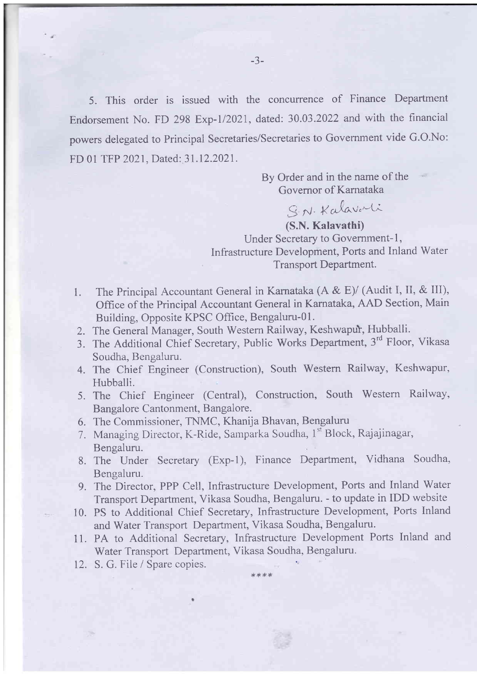5. This order is issued with the concurrence of Finance Department Endorsement No. FD 298 Exp-1/2021, dated: 30.03.2022 and with the financial powers delegated to Principal Secretaries/Secretaries to Govemment vide G.O.No: FD 01 TFP 2021, Dated: 31.12.2021.

> By Order and in the name of the Governor of Karnataka

S. N. Kalavarti (S.N.Kalavathi) Under Secretary to Government-1, Infrastructure Development, Ports and Inland Water Transport Department.

- 1. The Principal Accountant General in Karnataka  $(A & E)$  (Audit I, II, & III), Office of the Principal Accountant General in Kamataka, AAD Section, Main Building, Opposite KPSC Office, Bengaluru-01.
- 2. The General Manager, South Western Railway, Keshwapur, Hubballi.
- 3. The Additional Chief Secretary, Public Works Department, 3'd Floor, Vikasa Soudha, Bengaluru.
- 4. The Chief Engineer (Construction), South Western Railway, Keshwapur, Hubballi.
- 5. The Chief Engineer (Central), Construction, South Western Railway, Bangalore Cantonment, Bangalore.
- 6. The Commissioner, TNMC, Khanija Bhavan, Bengaluru
- 7. Managing Director, K-Ride, Samparka Soudha, 1st Block, Rajajinagar, Bengaluru.
- 8. The Under Secretary (Exp-l), Finance Department, Vidhana Soudha, Bengaluru.
- 9. The Director, PPP Cell, Infrastructure Development, Ports and Inland Water Transport Department, Vikasa Soudha, Bengaluru. - to update in IDD website
- 10. PS to Additional Chief Secretary, Infrastructure Development, Ports Inland and Water Transport Department, Vikasa Soudha, Bengaluru.
- 11. PA to Additional Secretary, Infrastructure Development Ports Inland and Water Transport Department, Vikasa Soudha, Bengaluru.

 $****$ 

12. S. G. File / Spare copies.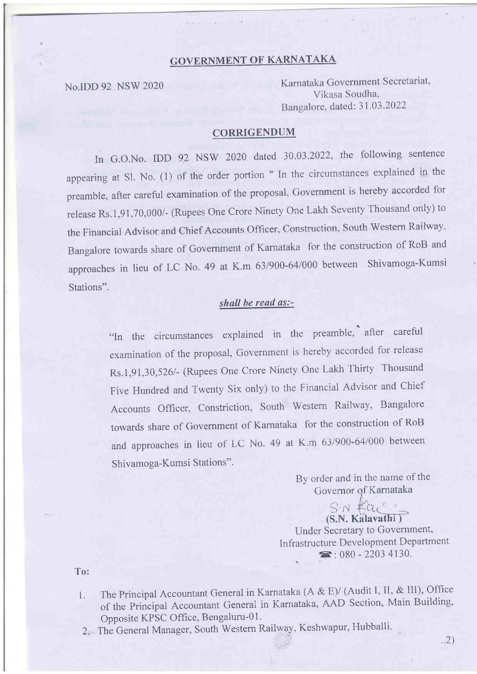# GOVERNMENT OF KARNATAKA

No.IDD 92 NSW <sup>2020</sup> Karnataka Government Secretariat, Vikasa Soudha, Bangalore, dated: 31.03.2022

### CORRIGENDUM

In G.O.No. IDD 92 NSW 2020 dated 30.03.2022, the following sentence appearing at Sl. No. (1) of the order portion " In the circumstances explained in the preamble, after careful examination of the proposal, Government is hereby accorded for release Rs.1,91,70,000/- (Rupees One Crore Ninety One Lakh Seventy Thousand only) to the Financial Advisor and Chief Accounts officer. Construction, South Western Railwav, Bangalore towards share of Government of Karnataka for the construction of RoB and approaches in lieu of LC No. 49 at K.m 63/900-64/000 between Shivamoga-Kumsi Stations".

### shall be read as:-

"In the circumstances explained in the preamble, after careful examination of the proposal, Government is hereby accorded for release Rs.1,91,30,526/- (Rupees One Crore Ninety One Lakh Thirty Thousand Five Hundred and Twenty Six only) to the Financial Advisor and chief Accounts Officer, Constriction, South Western Railway, Bangalore towards share of Govemment of Karnataka for the construction of RoB and approaches in lieu of LC No. 49 at K.m 631900-64/000 between Shivamoga-Kumsi Stations".

By order and in the name of the

(S.N. Kalavathi) Under Secretary to Government, Infrastructure Development Department<br>  $\overline{2}$ : 080 - 2203 4130.

To:

- The Principal Accountant General in Karnataka (A & E)/ (Audit I, II, & III), Office of the Principal Accountant General in Karnataka, AAD Section, Main Building, Opposite KPSC Office, Bengaluru-0 <sup>1</sup>. 1.
- 2. The General Manager, South Western Railway, Keshwapur, Hubballi.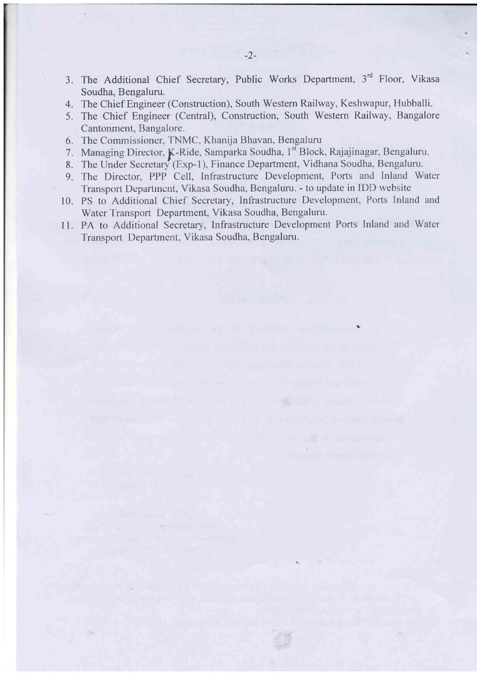- -2-
- 3. The Additional Chief Secretary, Public Works Department, 3'd Floor, Vikasa Soudha, Bengaluru.
- 4. The Chief Engineer (Construction), South Western Railway, Keshwapur, Hubballi.
- 5. The Chief Engineer (Central), Construction, South Western Railway, Bangalore Cantonment, Bangalore.
- 6. The Comrnissioner, TNMC, Khanija Bhavan, Bengaluru
- 7. Managing Director, K-Ride, Samparka Soudha, 1st Block, Rajajinagar, Bengaluru.
- 8. The Under Secretary (Exp-1), Finance Department, Vidhana Soudha, Bengaluru.
- 9. The Director, PPP Cell, Infrastructure Development, Ports and Inland Water Transport Department, Vikasa Soudha, Bengaluru. - to update in IDD website
- 10. PS to Additional Chief Secretary, Infrastructure Development, Ports Inland and Water Transport Department, Vikasa Soudha, Bengaluru.
- <sup>1</sup>1. PA to Additional Secretary, Infrastructure Development Ports Inland and Water Transport Department, Vikasa Soudha, Bengaluru.